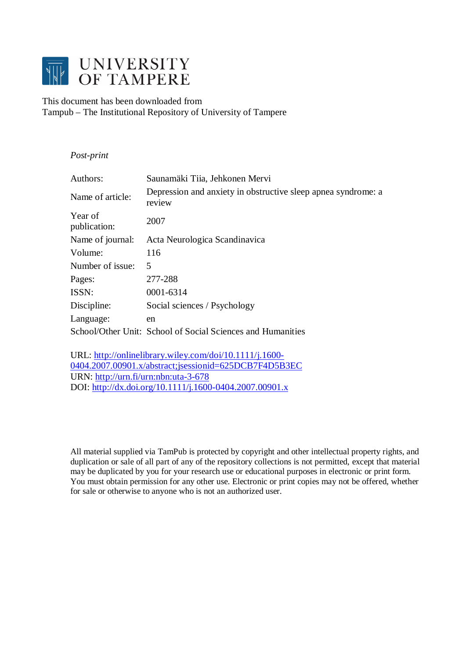

This document has been downloaded from Tampub – The Institutional Repository of University of Tampere

#### *Post-print*

| Authors:                | Saunamäki Tiia, Jehkonen Mervi                                          |
|-------------------------|-------------------------------------------------------------------------|
| Name of article:        | Depression and anxiety in obstructive sleep apnea syndrome: a<br>review |
| Year of<br>publication: | 2007                                                                    |
| Name of journal:        | Acta Neurologica Scandinavica                                           |
| Volume:                 | 116                                                                     |
| Number of issue:        | 5                                                                       |
| Pages:                  | 277-288                                                                 |
| ISSN:                   | 0001-6314                                                               |
| Discipline:             | Social sciences / Psychology                                            |
| Language:               | en                                                                      |
|                         | School/Other Unit: School of Social Sciences and Humanities             |

URL: [http://onlinelibrary.wiley.com/doi/10.1111/j.1600-](http://onlinelibrary.wiley.com/doi/10.1111/j.1600-0404.2007.00901.x/abstract;jsessionid=625DCB7F4D5B3EC) [0404.2007.00901.x/abstract;jsessionid=625DCB7F4D5B3EC](http://onlinelibrary.wiley.com/doi/10.1111/j.1600-0404.2007.00901.x/abstract;jsessionid=625DCB7F4D5B3EC)  URN: <http://urn.fi/urn:nbn:uta-3-678> DOI: <http://dx.doi.org/10.1111/j.1600-0404.2007.00901.x>

All material supplied via TamPub is protected by copyright and other intellectual property rights, and duplication or sale of all part of any of the repository collections is not permitted, except that material may be duplicated by you for your research use or educational purposes in electronic or print form. You must obtain permission for any other use. Electronic or print copies may not be offered, whether for sale or otherwise to anyone who is not an authorized user.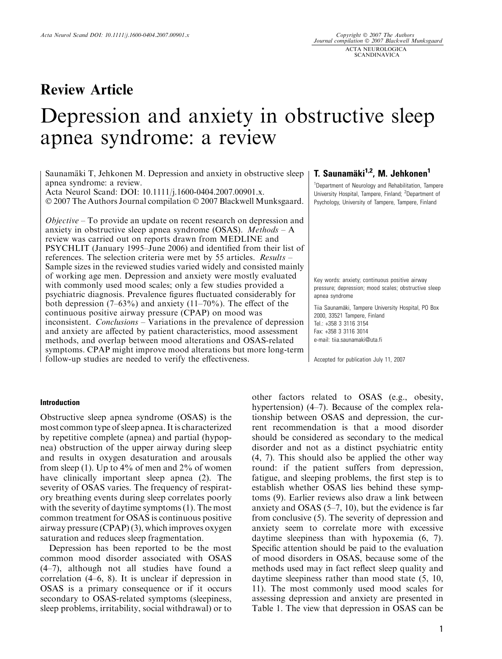### Review Article

## Depression and anxiety in obstructive sleep apnea syndrome: a review

Saunamäki T, Jehkonen M. Depression and anxiety in obstructive sleep apnea syndrome: a review. Acta Neurol Scand: DOI: 10.1111/j.1600-0404.2007.00901.x.

© 2007 The Authors Journal compilation © 2007 Blackwell Munksgaard.

Objective – To provide an update on recent research on depression and anxiety in obstructive sleep apnea syndrome (OSAS). Methods  $- A$ review was carried out on reports drawn from MEDLINE and PSYCHLIT (January 1995–June 2006) and identified from their list of references. The selection criteria were met by 55 articles. Results – Sample sizes in the reviewed studies varied widely and consisted mainly of working age men. Depression and anxiety were mostly evaluated with commonly used mood scales; only a few studies provided a psychiatric diagnosis. Prevalence figures fluctuated considerably for both depression (7–63%) and anxiety (11–70%). The effect of the continuous positive airway pressure (CPAP) on mood was inconsistent. Conclusions – Variations in the prevalence of depression and anxiety are affected by patient characteristics, mood assessment methods, and overlap between mood alterations and OSAS-related symptoms. CPAP might improve mood alterations but more long-term follow-up studies are needed to verify the effectiveness.

#### T. Saunamäki<sup>1,2</sup>, M. Jehkonen<sup>1</sup>

<sup>1</sup>Department of Neurology and Rehabilitation, Tampere University Hospital, Tampere, Finland; <sup>2</sup>Department of Psychology, University of Tampere, Tampere, Finland

Key words: anxiety; continuous positive airway pressure; depression; mood scales; obstructive sleep apnea syndrome

Tiia Saunamäki, Tampere University Hospital, PO Box 2000, 33521 Tampere, Finland Tel.: +358 3 3116 3154 Fax: +358 3 3116 3014 e-mail: tiia.saunamaki@uta.fi

Accepted for publication July 11, 2007

#### Introduction

Obstructive sleep apnea syndrome (OSAS) is the most common type of sleep apnea. It is characterized by repetitive complete (apnea) and partial (hypopnea) obstruction of the upper airway during sleep and results in oxygen desaturation and arousals from sleep (1). Up to  $4\%$  of men and  $2\%$  of women have clinically important sleep apnea (2). The severity of OSAS varies. The frequency of respiratory breathing events during sleep correlates poorly with the severity of daytime symptoms (1). The most common treatment for OSAS is continuous positive airway pressure (CPAP) (3), which improves oxygen saturation and reduces sleep fragmentation.

Depression has been reported to be the most common mood disorder associated with OSAS (4–7), although not all studies have found a correlation (4–6, 8). It is unclear if depression in OSAS is a primary consequence or if it occurs secondary to OSAS-related symptoms (sleepiness, sleep problems, irritability, social withdrawal) or to other factors related to OSAS (e.g., obesity, hypertension) (4–7). Because of the complex relationship between OSAS and depression, the current recommendation is that a mood disorder should be considered as secondary to the medical disorder and not as a distinct psychiatric entity (4, 7). This should also be applied the other way round: if the patient suffers from depression, fatigue, and sleeping problems, the first step is to establish whether OSAS lies behind these symptoms (9). Earlier reviews also draw a link between anxiety and OSAS (5–7, 10), but the evidence is far from conclusive (5). The severity of depression and anxiety seem to correlate more with excessive daytime sleepiness than with hypoxemia (6, 7). Specific attention should be paid to the evaluation of mood disorders in OSAS, because some of the methods used may in fact reflect sleep quality and daytime sleepiness rather than mood state (5, 10, 11). The most commonly used mood scales for assessing depression and anxiety are presented in Table 1. The view that depression in OSAS can be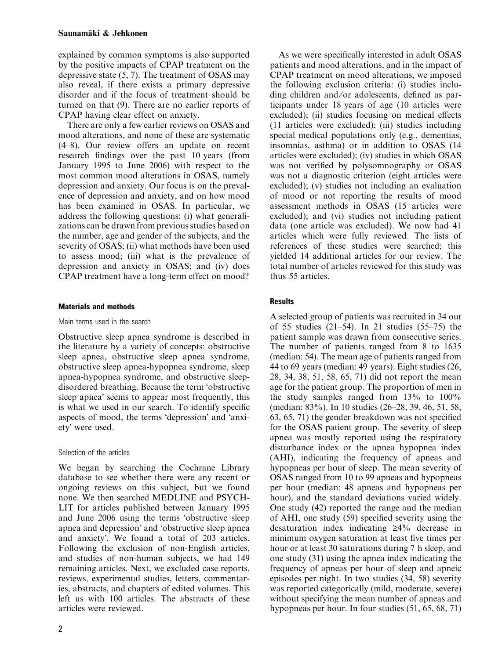#### Saunamäki & Jehkonen

explained by common symptoms is also supported by the positive impacts of CPAP treatment on the depressive state (5, 7). The treatment of OSAS may also reveal, if there exists a primary depressive disorder and if the focus of treatment should be turned on that (9). There are no earlier reports of CPAP having clear effect on anxiety.

There are only a few earlier reviews on OSAS and mood alterations, and none of these are systematic (4–8). Our review offers an update on recent research findings over the past 10 years (from January 1995 to June 2006) with respect to the most common mood alterations in OSAS, namely depression and anxiety. Our focus is on the prevalence of depression and anxiety, and on how mood has been examined in OSAS. In particular, we address the following questions: (i) what generalizations can be drawn from previous studies based on the number, age and gender of the subjects, and the severity of OSAS; (ii) what methods have been used to assess mood; (iii) what is the prevalence of depression and anxiety in OSAS; and (iv) does CPAP treatment have a long-term effect on mood?

#### Materials and methods

#### Main terms used in the search

Obstructive sleep apnea syndrome is described in the literature by a variety of concepts: obstructive sleep apnea, obstructive sleep apnea syndrome, obstructive sleep apnea-hypopnea syndrome, sleep apnea-hypopnea syndrome, and obstructive sleepdisordered breathing. Because the term 'obstructive sleep apnea' seems to appear most frequently, this is what we used in our search. To identify specific aspects of mood, the terms 'depression' and 'anxiety' were used.

#### Selection of the articles

We began by searching the Cochrane Library database to see whether there were any recent or ongoing reviews on this subject, but we found none. We then searched MEDLINE and PSYCH-LIT for articles published between January 1995 and June 2006 using the terms 'obstructive sleep apnea and depression' and 'obstructive sleep apnea and anxiety. We found a total of 203 articles. Following the exclusion of non-English articles, and studies of non-human subjects, we had 149 remaining articles. Next, we excluded case reports, reviews, experimental studies, letters, commentaries, abstracts, and chapters of edited volumes. This left us with 100 articles. The abstracts of these articles were reviewed.

As we were specifically interested in adult OSAS patients and mood alterations, and in the impact of CPAP treatment on mood alterations, we imposed the following exclusion criteria: (i) studies including children and/or adolescents, defined as participants under 18 years of age (10 articles were excluded); (ii) studies focusing on medical effects (11 articles were excluded); (iii) studies including special medical populations only (e.g., dementias, insomnias, asthma) or in addition to OSAS (14 articles were excluded); (iv) studies in which OSAS was not verified by polysomnography or OSAS was not a diagnostic criterion (eight articles were excluded); (v) studies not including an evaluation of mood or not reporting the results of mood assessment methods in OSAS (15 articles were excluded); and (vi) studies not including patient data (one article was excluded). We now had 41 articles which were fully reviewed. The lists of references of these studies were searched; this yielded 14 additional articles for our review. The total number of articles reviewed for this study was thus 55 articles.

#### **Results**

A selected group of patients was recruited in 34 out of 55 studies (21–54). In 21 studies (55–75) the patient sample was drawn from consecutive series. The number of patients ranged from 8 to 1635 (median: 54). The mean age of patients ranged from 44 to 69 years (median: 49 years). Eight studies (26, 28, 34, 38, 51, 58, 65, 71) did not report the mean age for the patient group. The proportion of men in the study samples ranged from 13% to 100% (median: 83%). In 10 studies (26–28, 39, 46, 51, 58, 63, 65, 71) the gender breakdown was not specified for the OSAS patient group. The severity of sleep apnea was mostly reported using the respiratory disturbance index or the apnea hypopnea index (AHI), indicating the frequency of apneas and hypopneas per hour of sleep. The mean severity of OSAS ranged from 10 to 99 apneas and hypopneas per hour (median: 48 apneas and hypopneas per hour), and the standard deviations varied widely. One study (42) reported the range and the median of AHI, one study (59) specified severity using the desaturation index indicating  $\geq 4\%$  decrease in minimum oxygen saturation at least five times per hour or at least 30 saturations during 7 h sleep, and one study (31) using the apnea index indicating the frequency of apneas per hour of sleep and apneic episodes per night. In two studies (34, 58) severity was reported categorically (mild, moderate, severe) without specifying the mean number of apneas and hypopneas per hour. In four studies (51, 65, 68, 71)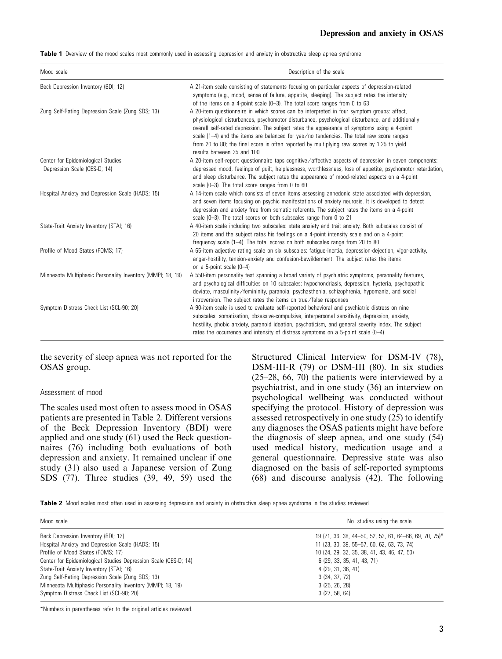Table 1 Overview of the mood scales most commonly used in assessing depression and anxiety in obstructive sleep apnea syndrome

| Mood scale                                                         | Description of the scale                                                                                                                                                                                                                                                                                                                                                                                                                                                                                                 |
|--------------------------------------------------------------------|--------------------------------------------------------------------------------------------------------------------------------------------------------------------------------------------------------------------------------------------------------------------------------------------------------------------------------------------------------------------------------------------------------------------------------------------------------------------------------------------------------------------------|
| Beck Depression Inventory (BDI; 12)                                | A 21-item scale consisting of statements focusing on particular aspects of depression-related<br>symptoms (e.g., mood, sense of failure, appetite, sleeping). The subject rates the intensity<br>of the items on a 4-point scale $(0-3)$ . The total score ranges from 0 to 63                                                                                                                                                                                                                                           |
| Zung Self-Rating Depression Scale (Zung SDS; 13)                   | A 20-item questionnaire in which scores can be interpreted in four symptom groups: affect,<br>physiological disturbances, psychomotor disturbance, psychological disturbance, and additionally<br>overall self-rated depression. The subject rates the appearance of symptoms using a 4-point<br>scale $(1-4)$ and the items are balanced for yes/no tendencies. The total raw score ranges<br>from 20 to 80; the final score is often reported by multiplying raw scores by 1.25 to yield<br>results between 25 and 100 |
| Center for Epidemiological Studies<br>Depression Scale (CES-D; 14) | A 20-item self-report questionnaire taps cognitive/affective aspects of depression in seven components:<br>depressed mood, feelings of guilt, helplessness, worthlessness, loss of appetite, psychomotor retardation,<br>and sleep disturbance. The subject rates the appearance of mood-related aspects on a 4-point<br>scale $(0-3)$ . The total score ranges from 0 to 60                                                                                                                                             |
| Hospital Anxiety and Depression Scale (HADS; 15)                   | A 14-item scale which consists of seven items assessing anhedonic state associated with depression,<br>and seven items focusing on psychic manifestations of anxiety neurosis. It is developed to detect<br>depression and anxiety free from somatic referents. The subject rates the items on a 4-point<br>scale (0-3). The total scores on both subscales range from 0 to 21                                                                                                                                           |
| State-Trait Anxiety Inventory (STAI; 16)                           | A 40-item scale including two subscales: state anxiety and trait anxiety. Both subscales consist of<br>20 items and the subject rates his feelings on a 4-point intensity scale and on a 4-point<br>frequency scale (1-4). The total scores on both subscales range from 20 to 80                                                                                                                                                                                                                                        |
| Profile of Mood States (POMS; 17)                                  | A 65-item adjective rating scale on six subscales: fatigue-inertia, depression-dejection, vigor-activity,<br>anger-hostility, tension-anxiety and confusion-bewilderment. The subject rates the items<br>on a 5-point scale $(0-4)$                                                                                                                                                                                                                                                                                      |
| Minnesota Multiphasic Personality Inventory (MMPI; 18, 19)         | A 550-item personality test spanning a broad variety of psychiatric symptoms, personality features,<br>and psychological difficulties on 10 subscales: hypochondriasis, depression, hysteria, psychopathic<br>deviate, masculinity/femininity, paranoia, psychasthenia, schizophrenia, hypomania, and social<br>introversion. The subject rates the items on true/false responses                                                                                                                                        |
| Symptom Distress Check List (SCL-90; 20)                           | A 90-item scale is used to evaluate self-reported behavioral and psychiatric distress on nine<br>subscales: somatization, obsessive-compulsive, interpersonal sensitivity, depression, anxiety,<br>hostility, phobic anxiety, paranoid ideation, psychoticism, and general severity index. The subject<br>rates the occurrence and intensity of distress symptoms on a 5-point scale (0–4)                                                                                                                               |

the severity of sleep apnea was not reported for the OSAS group.

#### Assessment of mood

The scales used most often to assess mood in OSAS patients are presented in Table 2. Different versions of the Beck Depression Inventory (BDI) were applied and one study (61) used the Beck questionnaires (76) including both evaluations of both depression and anxiety. It remained unclear if one study (31) also used a Japanese version of Zung SDS (77). Three studies (39, 49, 59) used the Structured Clinical Interview for DSM-IV (78), DSM-III-R (79) or DSM-III (80). In six studies (25–28, 66, 70) the patients were interviewed by a psychiatrist, and in one study (36) an interview on psychological wellbeing was conducted without specifying the protocol. History of depression was assessed retrospectively in one study (25) to identify any diagnoses the OSAS patients might have before the diagnosis of sleep apnea, and one study (54) used medical history, medication usage and a general questionnaire. Depressive state was also diagnosed on the basis of self-reported symptoms (68) and discourse analysis (42). The following

Table 2 Mood scales most often used in assessing depression and anxiety in obstructive sleep apnea syndrome in the studies reviewed

| Mood scale                                                      | No. studies using the scale                            |
|-----------------------------------------------------------------|--------------------------------------------------------|
| Beck Depression Inventory (BDI; 12)                             | 19 (21, 36, 38, 44-50, 52, 53, 61, 64-66, 69, 70, 75)* |
| Hospital Anxiety and Depression Scale (HADS; 15)                | 11 (23, 30, 39, 55-57, 60, 62, 63, 73, 74)             |
| Profile of Mood States (POMS; 17)                               | 10 (24, 29, 32, 35, 38, 41, 43, 46, 47, 50)            |
| Center for Epidemiological Studies Depression Scale (CES-D; 14) | 6 (29, 33, 35, 41, 43, 71)                             |
| State-Trait Anxiety Inventory (STAI; 16)                        | 4 (29, 31, 36, 41)                                     |
| Zung Self-Rating Depression Scale (Zung SDS; 13)                | 3(34, 37, 72)                                          |
| Minnesota Multiphasic Personality Inventory (MMPI; 18, 19)      | 3(25, 26, 28)                                          |
| Symptom Distress Check List (SCL-90; 20)                        | 3(27, 58, 64)                                          |

\*Numbers in parentheses refer to the original articles reviewed.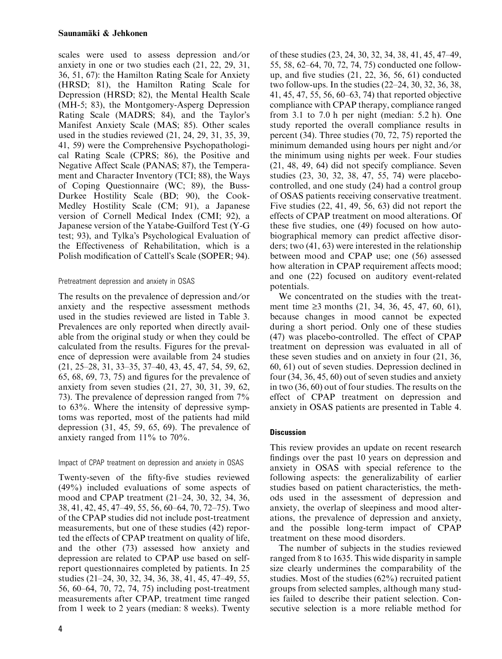scales were used to assess depression and/or anxiety in one or two studies each (21, 22, 29, 31, 36, 51, 67): the Hamilton Rating Scale for Anxiety (HRSD; 81), the Hamilton Rating Scale for Depression (HRSD; 82), the Mental Health Scale (MH-5; 83), the Montgomery-Asperg Depression Rating Scale (MADRS; 84), and the Taylor's Manifest Anxiety Scale (MAS; 85). Other scales used in the studies reviewed (21, 24, 29, 31, 35, 39, 41, 59) were the Comprehensive Psychopathological Rating Scale (CPRS; 86), the Positive and Negative Affect Scale (PANAS; 87), the Temperament and Character Inventory (TCI; 88), the Ways of Coping Questionnaire (WC; 89), the Buss-Durkee Hostility Scale (BD; 90), the Cook-Medley Hostility Scale (CM; 91), a Japanese version of Cornell Medical Index (CMI; 92), a Japanese version of the Yatabe-Guilford Test (Y-G test; 93), and Tylka's Psychological Evaluation of the Effectiveness of Rehabilitation, which is a Polish modification of Cattell's Scale (SOPER; 94).

#### Pretreatment depression and anxiety in OSAS

The results on the prevalence of depression and ⁄or anxiety and the respective assessment methods used in the studies reviewed are listed in Table 3. Prevalences are only reported when directly available from the original study or when they could be calculated from the results. Figures for the prevalence of depression were available from 24 studies (21, 25–28, 31, 33–35, 37–40, 43, 45, 47, 54, 59, 62, 65, 68, 69, 73, 75) and figures for the prevalence of anxiety from seven studies (21, 27, 30, 31, 39, 62, 73). The prevalence of depression ranged from 7% to 63%. Where the intensity of depressive symptoms was reported, most of the patients had mild depression (31, 45, 59, 65, 69). The prevalence of anxiety ranged from 11% to 70%.

#### Impact of CPAP treatment on depression and anxiety in OSAS

Twenty-seven of the fifty-five studies reviewed (49%) included evaluations of some aspects of mood and CPAP treatment (21–24, 30, 32, 34, 36, 38, 41, 42, 45, 47–49, 55, 56, 60–64, 70, 72–75). Two of the CPAP studies did not include post-treatment measurements, but one of these studies (42) reported the effects of CPAP treatment on quality of life, and the other (73) assessed how anxiety and depression are related to CPAP use based on selfreport questionnaires completed by patients. In 25 studies (21–24, 30, 32, 34, 36, 38, 41, 45, 47–49, 55, 56, 60–64, 70, 72, 74, 75) including post-treatment measurements after CPAP, treatment time ranged from 1 week to 2 years (median: 8 weeks). Twenty of these studies (23, 24, 30, 32, 34, 38, 41, 45, 47–49, 55, 58, 62–64, 70, 72, 74, 75) conducted one followup, and five studies (21, 22, 36, 56, 61) conducted two follow-ups. In the studies (22–24, 30, 32, 36, 38, 41, 45, 47, 55, 56, 60–63, 74) that reported objective compliance with CPAP therapy, compliance ranged from 3.1 to 7.0 h per night (median: 5.2 h). One study reported the overall compliance results in percent (34). Three studies (70, 72, 75) reported the minimum demanded using hours per night and ⁄or the minimum using nights per week. Four studies (21, 48, 49, 64) did not specify compliance. Seven studies (23, 30, 32, 38, 47, 55, 74) were placebocontrolled, and one study (24) had a control group of OSAS patients receiving conservative treatment. Five studies (22, 41, 49, 56, 63) did not report the effects of CPAP treatment on mood alterations. Of these five studies, one (49) focused on how autobiographical memory can predict affective disorders; two (41, 63) were interested in the relationship between mood and CPAP use; one (56) assessed how alteration in CPAP requirement affects mood; and one (22) focused on auditory event-related potentials.

We concentrated on the studies with the treatment time  $\geq 3$  months (21, 34, 36, 45, 47, 60, 61), because changes in mood cannot be expected during a short period. Only one of these studies (47) was placebo-controlled. The effect of CPAP treatment on depression was evaluated in all of these seven studies and on anxiety in four (21, 36, 60, 61) out of seven studies. Depression declined in four (34, 36, 45, 60) out of seven studies and anxiety in two (36, 60) out of four studies. The results on the effect of CPAP treatment on depression and anxiety in OSAS patients are presented in Table 4.

#### **Discussion**

This review provides an update on recent research findings over the past 10 years on depression and anxiety in OSAS with special reference to the following aspects: the generalizability of earlier studies based on patient characteristics, the methods used in the assessment of depression and anxiety, the overlap of sleepiness and mood alterations, the prevalence of depression and anxiety, and the possible long-term impact of CPAP treatment on these mood disorders.

The number of subjects in the studies reviewed ranged from 8 to 1635. This wide disparity in sample size clearly undermines the comparability of the studies. Most of the studies (62%) recruited patient groups from selected samples, although many studies failed to describe their patient selection. Consecutive selection is a more reliable method for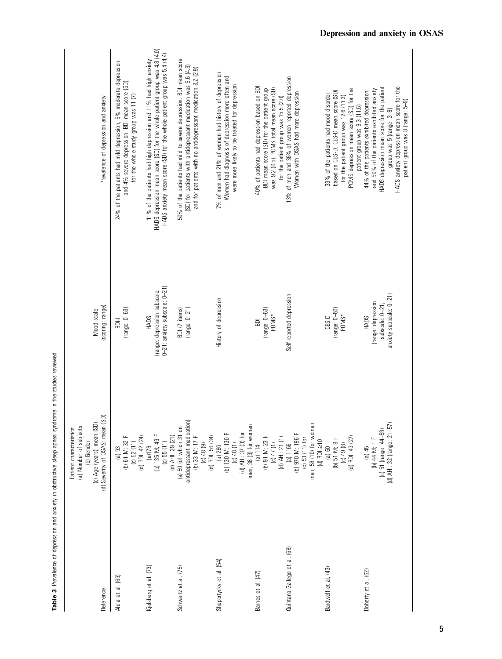| Reference                    | (SD)<br>(c) Age (years): mean (SD)<br>Patient characteristics:<br>(a) Number of subjects<br>(d) Severity of OSAS: mean<br>(b) Gender | scoring: range)<br>Mood scale                                                   | Prevalence of depression and anxiety                                                                                                                                                                                                              |
|------------------------------|--------------------------------------------------------------------------------------------------------------------------------------|---------------------------------------------------------------------------------|---------------------------------------------------------------------------------------------------------------------------------------------------------------------------------------------------------------------------------------------------|
| Aloia et al. (69)            | (d) RDI: 42 (24)<br>(a) 93<br>(b) 61 M; 32 F<br>(c) 52 (11)                                                                          | $(range: 0-63)$<br>$BDI-II$                                                     | 24% of the patients had mild depression, 5% moderate depression,<br>and 4% severe depression. BDI mean score (SD)<br>for the whole study group was 11 (7)                                                                                         |
| Kjelsberg et al. (73)        | (b) 135 M; 43 F<br>(d) AHI: 29 (21)<br>$(c)$ 55 $(11)$<br>(16)                                                                       | 0-21; anxiety subscale: 0-21)<br>(range: depression subscale:<br>HADS           | HADS depression mean score (SD) for the whole patient group was 4.8 (4.0)<br>HADS anxiety mean score (SD) for the whole patient group was 5.4 (4.4)<br>11% of the patients had high depression and 11% had high anxiety                           |
| Schwartz et al. (75)         | antidepressant medication)<br>(b) 33 M; 17 F<br>(c) 48 (9)<br>(a) 50 (of which 31 on<br>(d) RDI: 56 (34)                             | BDI (7 items)<br>(range: 0-21)                                                  | 50% of the patients had mild to severe depression. BDI mean score<br>(SD) for patients with antidepressant medication was 5.6 (4.3)<br>and for patients with no antidepressant medication 3.2 (2.9)                                               |
| Shepertycky et al. (54)      | men; 36 (3) for womer<br>(c) 48 (1)<br>(d) AHI: 37 (3) for<br>(b) 130 M; 130 F<br>(a) 260                                            | History of depression                                                           | 7% of men and 21% of women had history of depression.<br>Women had diagnosis of depression more often and<br>were more likely to be treated for depression                                                                                        |
| Barnes et al. (47)           | (b) 91 M; 23 F<br>(c) 47 (1)<br>(a) $114$                                                                                            | (range: 0-63)<br>POMS*<br>$\overline{5}$                                        | 40% of patients had depression based on BDI.<br>BDI mean score (SD) for the patient group<br>was 9.2 (0.5). POMS total mean score (SD)<br>for the patient group was 15.5 (2.0)                                                                    |
| Quintana-Gallego et al. (68) | men; 58 (10) for women<br>(d) RDI $\geq$ 10<br>(b) 970 M; 196 F<br>(c) 53 (11) for<br>(d) AHI: 21 (1)<br>(a) 1166                    | Self-reported depression                                                        | 13% of men and 36% of women reported depression<br>Women with OSAS had more depression                                                                                                                                                            |
| Bardwell et al. (43)         | (d) RDI: 49 (27)<br>(b) 51 M; 9 F<br>$(c)$ 49 $(8)$<br>(a) 60                                                                        | (range: 0-60)<br>POMS*<br>CES-D                                                 | POMS depression mean score (SD) for the<br>based on CES-D. CES-D mean score (SD)<br>33% of the patients had mood disorder<br>for the patient group was 12.6 (11.3).<br>patient group was 9.3 (11.6)                                               |
| Doherty et al. (62)          | (d) AHI: 32 (range: 21-57)<br>(c) 51 (range: 44-58)<br>(b) 44 M; 1 F<br>$(a)$ 45                                                     | anxiety subscale: 0-21)<br>(range: depression<br>subscale: 0-21;<br><b>HADS</b> | HADS anxiety depression mean score for the<br>HADS depression mean score for the patient<br>and 50% of the patients exhibited anxiety<br>44% of the patients exhibited depression<br>patient group was 8 (range: 5-9)<br>group was 5 (range: 3-8) |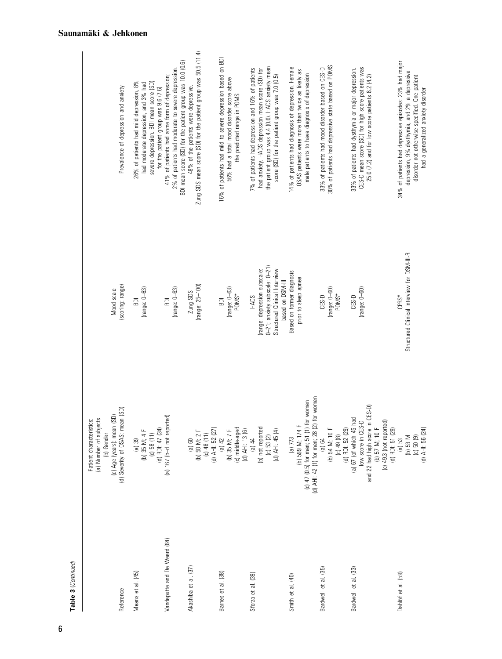# Table 3 (Continued) Table 3 (Continued)

|                              | Patient characteristics:<br>(a) Number of subjects<br>(b) Gender                                                      |                                                                                                                            |                                                                                                                                                                                                               |
|------------------------------|-----------------------------------------------------------------------------------------------------------------------|----------------------------------------------------------------------------------------------------------------------------|---------------------------------------------------------------------------------------------------------------------------------------------------------------------------------------------------------------|
| Reference                    | (d) Severity of OSAS: mean (SD)<br>(c) Age (years): mean (SD)                                                         | (scoring: range)<br>Mood scale                                                                                             | Prevalence of depression and anxiety                                                                                                                                                                          |
| Means et al. (45)            | (b) 35 M; 4 F<br>$(c)$ 58 $(11)$<br>(a) 39                                                                            | (range: 0-63)<br>$\overline{5}$                                                                                            | 26% of patients had mild depression, 8%<br>severe depression. BDI mean score (SD)<br>had moderate depression, and 3% had                                                                                      |
| Vandeputte and De Weerd (64) | (a) 167 (b-d not reported)<br>(d) RDI: 47 (34)                                                                        | (range: 0-63)<br>$\overline{5}$                                                                                            | 2% of patients had moderate to severe depression.<br>41% of patients had some form of depression;<br>for the patient group was 9.6 (7.6)                                                                      |
| Akashiba et al. (37)         | (d) AHI: 52 (27)<br>(b) 58 M; 2 F<br>$(c)$ 48 $(11)$<br>08(a)                                                         | (range: 25-100)<br>Zung SDS                                                                                                | Zung SDS mean score (SD) for the patient group was 50.5 (11.4)<br>BDI mean score (SD) for the patient group was 10.0 (0.6)<br>48% of the patients were depressive.                                            |
| Barnes et al. (38)           | (c) middle-aged<br>(a) 42<br>(b) 35 M; $7 F$<br>(d) AHI: 13 (6)                                                       | $(range: 0-63)$<br>POMS*<br>BDI                                                                                            | 16% of patients had mild to severe depression based on BDI<br>56% had a total mood disorder score above<br>the predicted range in POMS                                                                        |
| Sforza et al. (39)           | (b) not reported<br>(d) AHI: 45 (4)<br>$(c)$ 53 $(2)$<br>(a) $44$                                                     | 0-21; anxiety subscale: 0-21)<br>Structured Clinical Interview<br>(range: depression subscale:<br>based on DSM-III<br>HADS | the patient group was 4.4 (0.6). HADS anxiety mean<br>7% of patients had depression and 16% of patients<br>had anxiety. HADS depression mean score (SD) for<br>score (SD) for the patient group was 7.0 (0.5) |
| Smith et al. (40)            | for women<br>(c) 47 (0.5) for men; 51 (1) for women<br>(a) 773<br>(b) 599 M; 174 F<br>(d) AHI: 42 (1) for men; 28 (2) | Based on former diagnosis<br>prior to sleep apnea                                                                          | 14% of patients had diagnosis of depression. Female<br>OSAS patients were more than twice as likely as<br>male patients to have diagnosis of depression                                                       |
| Bardwell et al. (35)         | (d) RDI: 52 (29)<br>(b) 54 M; 10 F<br>$(c)$ 49 $(8)$<br>(a) 64                                                        | (range: 0-60)<br>POMS*<br>CES-D                                                                                            | 30% of patients had depressive state based on POMS<br>33% of patients had mood disorder based on CES-D                                                                                                        |
| Bardwell et al. (33)         | and 22 had high score in CES-D)<br>(a) 67 (of which 45 had<br>low score in CES-D<br>(b) 57 M; 10 F                    | (range: 0-60)<br>CES-D                                                                                                     | CES-D mean score (SD) for high score patients was<br>33% of patients had dysthymia or major depression.<br>25.0 (7.2) and for low score patients 6.2 (4.2)                                                    |
| Dahlöf et al. (59)           | $(c)$ 49.3 (not reported<br>(d) RDI: 51 (29)<br>(d) AHI: 56 (24)<br>(b) 53 M<br>$(c)$ 50 (9)<br>$(a)$ 53              | Structured Clinical Interview for DSM-III-R<br>CPRS*                                                                       | 34% of patients had depressive episodes: 23% had major<br>depression, 9% dysthymia, and 2% a depressive<br>disorder not otherwise specified. One patient<br>had a generalized anxiety disorder                |

#### Saunamäki & Jehkonen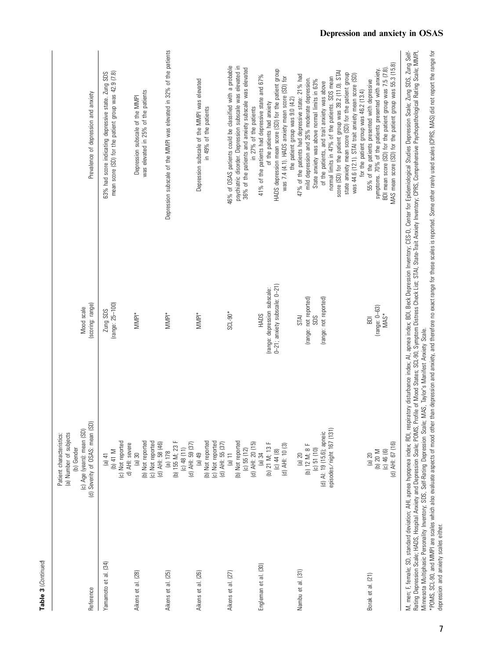| ť |
|---|
|   |
|   |
|   |

|                                                                                                                      | (c) Age (years): mean (SD)<br>(a) Number of subjects<br>Patient characteristics:<br>(b) Gender                        | Mood scale                                                                       |                                                                                                                                                                                                                                                                                                                                                                                                                                                                                                                                                                                                                                |
|----------------------------------------------------------------------------------------------------------------------|-----------------------------------------------------------------------------------------------------------------------|----------------------------------------------------------------------------------|--------------------------------------------------------------------------------------------------------------------------------------------------------------------------------------------------------------------------------------------------------------------------------------------------------------------------------------------------------------------------------------------------------------------------------------------------------------------------------------------------------------------------------------------------------------------------------------------------------------------------------|
| Reference                                                                                                            | (d) Severity of OSAS: mean (SD)                                                                                       | (scoring: range)                                                                 | Prevalence of depression and anxiety                                                                                                                                                                                                                                                                                                                                                                                                                                                                                                                                                                                           |
| Yamamoto et al. (34)                                                                                                 | (c) Not reported<br>(b) 41 M<br>(4)                                                                                   | (range: 25-100)<br>Zung SDS                                                      | mean score (SD) for the patient group was 42.9 (7.8)<br>63% had score indicating depressive state. Zung SDS                                                                                                                                                                                                                                                                                                                                                                                                                                                                                                                    |
| Aikens et al. (28)                                                                                                   | (b) Not reported<br>(c) Not reported<br>d) AHI: severe<br>$(a)$ 30                                                    | MMP <sup>*</sup>                                                                 | was elevated in 25% of the patients<br>Depression subscale of the MMPI                                                                                                                                                                                                                                                                                                                                                                                                                                                                                                                                                         |
| Aikens et al. (25)                                                                                                   | (b) 155 M; 23 F<br>(d) AHI: 58 (46)<br>$(c)$ 48 $(11)$<br>(a) 178                                                     | MMP <sup>*</sup>                                                                 | Depression subscale of the MMPI was elevated in 32% of the patients                                                                                                                                                                                                                                                                                                                                                                                                                                                                                                                                                            |
| Aikens et al. (26)                                                                                                   | (b) Not reported<br>(c) Not reported<br>(d) AHI: 59 (37)<br>(d) AHI: 55 (37)<br>$(1)$ 49                              | MMP <sup>*</sup>                                                                 | Depression subscale of the MMPI was elevated<br>in 49% of the patients                                                                                                                                                                                                                                                                                                                                                                                                                                                                                                                                                         |
| Aikens et al. (27)                                                                                                   | (b) Not reported<br>(d) AHI: 20 (15)<br>(c) 55(12)<br>$\begin{bmatrix} a \\ c \end{bmatrix}$                          | $$CL-90*$                                                                        | psychiatric disorder. Depression subscale was elevated in<br>46% of OSAS patients could be classified with a probable<br>36% of the patients and anxiety subscale was elevated<br>in 27% of the patients                                                                                                                                                                                                                                                                                                                                                                                                                       |
| Engleman et al. (30)                                                                                                 | (b) 21 M; 13 F<br>(d) AHI: 10 (3)<br>$(c)$ 44 $(8)$<br>(a) 34                                                         | 0-21; anxiety subscale: 0-21)<br>(range: depression subscale:<br>HADS            | HADS depression mean score (SD) for the patient group<br>41% of the patients had depressive state and 67%<br>was 7.4 (4.1). HADS anxiety mean score (SD) for<br>the patient group was 9.0 (4.2)<br>of the patients had anxiety                                                                                                                                                                                                                                                                                                                                                                                                 |
| Nambu et al. (31)                                                                                                    | episodes/night 167 (131)<br>(d) Al: 19 (15.6); apneic<br>(a) 20<br>(b) 12 M; 8 F<br>$(c)$ 51 (10)                     | (range: not reported)<br>(range: not reported)<br><b>INIS</b><br>SD <sub>S</sub> | score (SD) for the patient group was 39.2 (11.0). STAI<br>state anxiety mean score (SD) for the patient group<br>was 44.6 (12.1). STAI trait anxiety mean score (SD)<br>47% of the patients had depressive state: 21% had<br>normal limits in 47% of the patients. SDS mean<br>mild depression and 26% moderate depression.<br>State anxiety was above normal limits in 63%<br>of the patients, and trait anxiety was above<br>for the patient group was 46.2 (13.4)                                                                                                                                                           |
| Borak et al. (21)                                                                                                    | (d) AHI: 67 (16)<br>(b) 20 M<br>$(c)$ 46 $(6)$<br>$(a)$ 20                                                            | (range: 0-63)<br>MAS*<br>$\overline{5}$                                          | MAS mean score (SD) for the patient group was 55.3 (15.8)<br>BDI mean score (SD) for the patient group was 7.5 (7.8)<br>symptoms. 70% of the patients presented with anxiety.<br>55% of the patients presented with depressive                                                                                                                                                                                                                                                                                                                                                                                                 |
| Rating Depression Scale; HADS, Hospital Anxiety and Depression Scale; POMS,<br>depression and anxiety scales either. | Minnesota Multiphasic Personality Inventory; SDS, Self-Rating Depression Scale; MAS, Taylor's Manifest Anxiety Scale. |                                                                                  | M, men: F, female; SD, standard deviation; AHI, apnea hypopnea index; RDI, respiratory disturbance index; AI, apnea index; BDI, Beck Depression Inventory; CES-D, Center for Epidemiological Studies Depression Scale; Zung SQ<br>*POMS, SCL-90, and MMPI are scales which also evaluate aspects of mood other than depression and anxiety, and therefore no exact range for these scales is reported. Some other rarely used scales (CPRS, MAS) did not report<br>Profile of Mood States; SCL-90, Symptom Distress Check List; STAI, State-Trait Anxiety Inventory; CPRS, Comprehensive Psychopathological Rating Scale; MMPJ |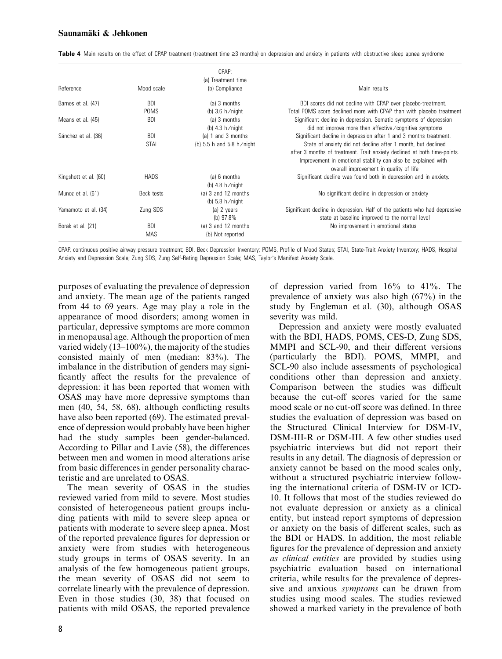#### Saunamäki & Jehkonen

Table 4 Main results on the effect of CPAP treatment (treatment time ≥3 months) on depression and anxiety in patients with obstructive sleep apnea syndrome

| Reference             | Mood scale        | CPAP:<br>(a) Treatment time<br>(b) Compliance | Main results                                                                                                                                                                                                                                        |
|-----------------------|-------------------|-----------------------------------------------|-----------------------------------------------------------------------------------------------------------------------------------------------------------------------------------------------------------------------------------------------------|
| Barnes et al. (47)    | <b>BDI</b>        | (a) 3 months                                  | BDI scores did not decline with CPAP over placebo-treatment.                                                                                                                                                                                        |
|                       | <b>POMS</b>       | (b) $3.6 h/night$                             | Total POMS score declined more with CPAP than with placebo treatment                                                                                                                                                                                |
| Means et al. (45)     | <b>BDI</b>        | (a) 3 months<br>(b) $4.3 h/night$             | Significant decline in depression. Somatic symptoms of depression<br>did not improve more than affective/cognitive symptoms                                                                                                                         |
| Sánchez et al. (36)   | <b>BDI</b>        | (a) 1 and 3 months                            | Significant decline in depression after 1 and 3 months treatment.                                                                                                                                                                                   |
|                       | <b>STAI</b>       | (b) 5.5 h and 5.8 h/night                     | State of anxiety did not decline after 1 month, but declined<br>after 3 months of treatment. Trait anxiety declined at both time-points.<br>Improvement in emotional stability can also be explained with<br>overall improvement in quality of life |
| Kingshott et al. (60) | <b>HADS</b>       | (a) 6 months<br>(b) $4.8 h/night$             | Significant decline was found both in depression and in anxiety.                                                                                                                                                                                    |
| Munoz et al. (61)     | Beck tests        | (a) 3 and 12 months<br>(b) $5.8 h/night$      | No significant decline in depression or anxiety                                                                                                                                                                                                     |
| Yamamoto et al. (34)  | Zung SDS          | (a) 2 years<br>(b) 97.8%                      | Significant decline in depression. Half of the patients who had depressive<br>state at baseline improved to the normal level                                                                                                                        |
| Borak et al. (21)     | <b>BDI</b><br>MAS | (a) 3 and 12 months<br>(b) Not reported       | No improvement in emotional status                                                                                                                                                                                                                  |

CPAP, continuous positive airway pressure treatment; BDI, Beck Depression Inventory; POMS, Profile of Mood States; STAI, State-Trait Anxiety Inventory; HADS, Hospital Anxiety and Depression Scale; Zung SDS, Zung Self-Rating Depression Scale; MAS, Taylor's Manifest Anxiety Scale.

purposes of evaluating the prevalence of depression and anxiety. The mean age of the patients ranged from 44 to 69 years. Age may play a role in the appearance of mood disorders; among women in particular, depressive symptoms are more common in menopausal age. Although the proportion of men varied widely  $(13-100\%)$ , the majority of the studies consisted mainly of men (median: 83%). The imbalance in the distribution of genders may significantly affect the results for the prevalence of depression: it has been reported that women with OSAS may have more depressive symptoms than men (40, 54, 58, 68), although conflicting results have also been reported (69). The estimated prevalence of depression would probably have been higher had the study samples been gender-balanced. According to Pillar and Lavie (58), the differences between men and women in mood alterations arise from basic differences in gender personality characteristic and are unrelated to OSAS.

The mean severity of OSAS in the studies reviewed varied from mild to severe. Most studies consisted of heterogeneous patient groups including patients with mild to severe sleep apnea or patients with moderate to severe sleep apnea. Most of the reported prevalence figures for depression or anxiety were from studies with heterogeneous study groups in terms of OSAS severity. In an analysis of the few homogeneous patient groups, the mean severity of OSAS did not seem to correlate linearly with the prevalence of depression. Even in those studies (30, 38) that focused on patients with mild OSAS, the reported prevalence of depression varied from 16% to 41%. The prevalence of anxiety was also high (67%) in the study by Engleman et al. (30), although OSAS severity was mild.

Depression and anxiety were mostly evaluated with the BDI, HADS, POMS, CES-D, Zung SDS, MMPI and SCL-90, and their different versions (particularly the BDI). POMS, MMPI, and SCL-90 also include assessments of psychological conditions other than depression and anxiety. Comparison between the studies was difficult because the cut-off scores varied for the same mood scale or no cut-off score was defined. In three studies the evaluation of depression was based on the Structured Clinical Interview for DSM-IV, DSM-III-R or DSM-III. A few other studies used psychiatric interviews but did not report their results in any detail. The diagnosis of depression or anxiety cannot be based on the mood scales only, without a structured psychiatric interview following the international criteria of DSM-IV or ICD-10. It follows that most of the studies reviewed do not evaluate depression or anxiety as a clinical entity, but instead report symptoms of depression or anxiety on the basis of different scales, such as the BDI or HADS. In addition, the most reliable figures for the prevalence of depression and anxiety as clinical entities are provided by studies using psychiatric evaluation based on international criteria, while results for the prevalence of depressive and anxious symptoms can be drawn from studies using mood scales. The studies reviewed showed a marked variety in the prevalence of both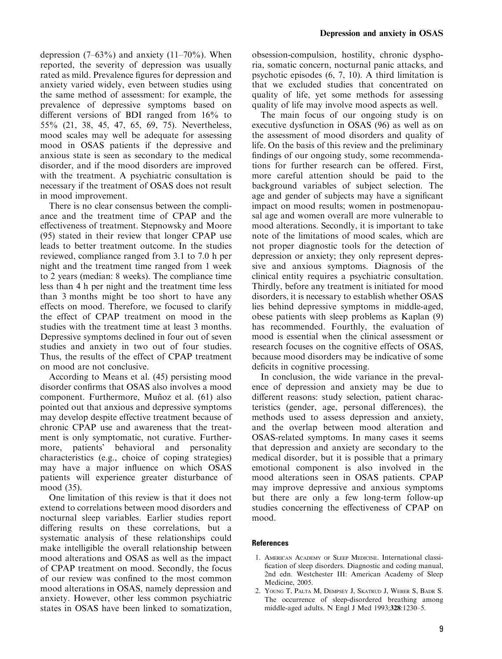depression  $(7-63\%)$  and anxiety  $(11-70\%)$ . When reported, the severity of depression was usually rated as mild. Prevalence figures for depression and anxiety varied widely, even between studies using the same method of assessment: for example, the prevalence of depressive symptoms based on different versions of BDI ranged from 16% to 55% (21, 38, 45, 47, 65, 69, 75). Nevertheless, mood scales may well be adequate for assessing mood in OSAS patients if the depressive and anxious state is seen as secondary to the medical disorder, and if the mood disorders are improved with the treatment. A psychiatric consultation is necessary if the treatment of OSAS does not result in mood improvement.

There is no clear consensus between the compliance and the treatment time of CPAP and the effectiveness of treatment. Stepnowsky and Moore (95) stated in their review that longer CPAP use leads to better treatment outcome. In the studies reviewed, compliance ranged from 3.1 to 7.0 h per night and the treatment time ranged from 1 week to 2 years (median: 8 weeks). The compliance time less than 4 h per night and the treatment time less than 3 months might be too short to have any effects on mood. Therefore, we focused to clarify the effect of CPAP treatment on mood in the studies with the treatment time at least 3 months. Depressive symptoms declined in four out of seven studies and anxiety in two out of four studies. Thus, the results of the effect of CPAP treatment on mood are not conclusive.

According to Means et al. (45) persisting mood disorder confirms that OSAS also involves a mood component. Furthermore, Muñoz et al. (61) also pointed out that anxious and depressive symptoms may develop despite effective treatment because of chronic CPAP use and awareness that the treatment is only symptomatic, not curative. Furthermore, patients' behavioral and personality characteristics (e.g., choice of coping strategies) may have a major influence on which OSAS patients will experience greater disturbance of mood (35).

One limitation of this review is that it does not extend to correlations between mood disorders and nocturnal sleep variables. Earlier studies report differing results on these correlations, but a systematic analysis of these relationships could make intelligible the overall relationship between mood alterations and OSAS as well as the impact of CPAP treatment on mood. Secondly, the focus of our review was confined to the most common mood alterations in OSAS, namely depression and anxiety. However, other less common psychiatric states in OSAS have been linked to somatization, obsession-compulsion, hostility, chronic dysphoria, somatic concern, nocturnal panic attacks, and psychotic episodes (6, 7, 10). A third limitation is that we excluded studies that concentrated on quality of life, yet some methods for assessing quality of life may involve mood aspects as well.

The main focus of our ongoing study is on executive dysfunction in OSAS (96) as well as on the assessment of mood disorders and quality of life. On the basis of this review and the preliminary findings of our ongoing study, some recommendations for further research can be offered. First, more careful attention should be paid to the background variables of subject selection. The age and gender of subjects may have a significant impact on mood results; women in postmenopausal age and women overall are more vulnerable to mood alterations. Secondly, it is important to take note of the limitations of mood scales, which are not proper diagnostic tools for the detection of depression or anxiety; they only represent depressive and anxious symptoms. Diagnosis of the clinical entity requires a psychiatric consultation. Thirdly, before any treatment is initiated for mood disorders, it is necessary to establish whether OSAS lies behind depressive symptoms in middle-aged, obese patients with sleep problems as Kaplan (9) has recommended. Fourthly, the evaluation of mood is essential when the clinical assessment or research focuses on the cognitive effects of OSAS, because mood disorders may be indicative of some deficits in cognitive processing.

In conclusion, the wide variance in the prevalence of depression and anxiety may be due to different reasons: study selection, patient characteristics (gender, age, personal differences), the methods used to assess depression and anxiety, and the overlap between mood alteration and OSAS-related symptoms. In many cases it seems that depression and anxiety are secondary to the medical disorder, but it is possible that a primary emotional component is also involved in the mood alterations seen in OSAS patients. CPAP may improve depressive and anxious symptoms but there are only a few long-term follow-up studies concerning the effectiveness of CPAP on mood.

#### **References**

- 1. American Academy of Sleep Medicine. International classification of sleep disorders. Diagnostic and coding manual, 2nd edn. Westchester III: American Academy of Sleep Medicine, 2005.
- 2. Young T, Palta M, Dempsey J, Skatrud J, Weber S, Badr S. The occurrence of sleep-disordered breathing among middle-aged adults. N Engl J Med 1993;328:1230–5.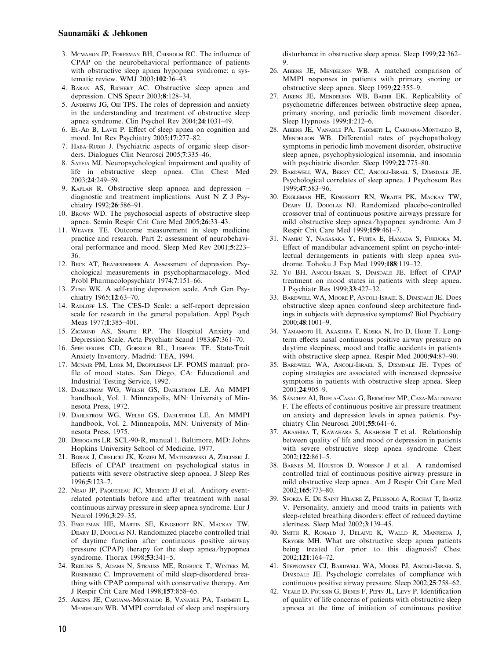- 3. Mcmahon JP, Foresman BH, Chisholm RC. The influence of CPAP on the neurobehavioral performance of patients with obstructive sleep apnea hypopnea syndrome: a systematic review. WMJ 2003;102:36–43.
- 4. Baran AS, Richert AC. Obstructive sleep apnea and depression. CNS Spectr 2003;8:128–34.
- 5. Andrews JG, Oei TPS. The roles of depression and anxiety in the understanding and treatment of obstructive sleep apnea syndrome. Clin Psychol Rev 2004;24:1031–49.
- 6. El-Ad B, Lavie P. Effect of sleep apnea on cognition and mood. Int Rev Psychiatry 2005;17:277–82.
- 7. Haba-Rubio J. Psychiatric aspects of organic sleep disorders. Dialogues Clin Neurosci 2005;7:335–46.
- 8. Sateia MJ. Neuropsychological impairment and quality of life in obstructive sleep apnea. Clin Chest Med 2003;24:249–59.
- 9. Kaplan R. Obstructive sleep apnoea and depression diagnostic and treatment implications. Aust N Z J Psychiatry 1992;26:586–91.
- 10. Brown WD. The psychosocial aspects of obstructive sleep apnea. Semin Respir Crit Care Med 2005;26:33–43.
- 11. Weaver TE. Outcome measurement in sleep medicine practice and research. Part 2: assessment of neurobehavioral performance and mood. Sleep Med Rev 2001;5:223– 36.
- 12. Beck AT, Beanesderfer A. Assessment of depression. Psychological measurements in psychopharmacology. Mod Probl Pharmacolopsychiatr 1974;7:151–66.
- 13. Zung WK. A self-rating depression scale. Arch Gen Psychiatry 1965;12:63–70.
- 14. RADLOFF LS. The CES-D Scale: a self-report depression scale for research in the general population. Appl Psych Meas 1977;1:385–401.
- 15. ZIGMOND AS, SNAITH RP. The Hospital Anxiety and Depression Scale. Acta Psychiatr Scand 1983;67:361–70.
- 16. Spielberger CD, Gorsuch RL, Lushene TE. State-Trait Anxiety Inventory. Madrid: TEA, 1994.
- 17. Mcnair PM, Lorr M, Droppleman LF. POMS manual: profile of mood states. San Diego, CA: Educational and Industrial Testing Service, 1992.
- 18. Dahlstrom WG, Welsh GS, Dahlstrom LE. An MMPI handbook, Vol. 1. Minneapolis, MN: University of Minnesota Press, 1972.
- 19. Dahlstrom WG, Welsh GS, Dahlstrom LE. An MMPI handbook, Vol. 2. Minneapolis, MN: University of Minnesota Press, 1975.
- 20. Derogatis LR. SCL-90-R, manual 1. Baltimore, MD: Johns Hopkins University School of Medicine, 1977.
- 21. Borak J, Cieslicki JK, Koziej M, Matuszewski A, Zielinski J. Effects of CPAP treatment on psychological status in patients with severe obstructive sleep apnoea. J Sleep Res 1996;5:123–7.
- 22. Neau JP, Paquereau JC, Meurice JJ et al. Auditory eventrelated potentials before and after treatment with nasal continuous airway pressure in sleep apnea syndrome. Eur J Neurol 1996;3:29–35.
- 23. Engleman HE, Martin SE, Kingshott RN, Mackay TW, Deary IJ, Douglas NJ. Randomized placebo controlled trial of daytime function after continuous positive airway pressure (CPAP) therapy for the sleep apnea ⁄ hypopnea syndrome. Thorax 1998;53:341–5.
- 24. Redline S, Adams N, Strauss ME, Roebuck T, Winters M, ROSENBERG C. Improvement of mild sleep-disordered breathing with CPAP compared with conservative therapy. Am J Respir Crit Care Med 1998;157:858–65.
- 25. Aikens JE, Caruana-Montaldo B, Vanable PA, Tadimeti L, MENDELSON WB. MMPI correlated of sleep and respiratory

disturbance in obstructive sleep apnea. Sleep 1999;22:362– 9.

- 26. AIKENS JE, MENDELSON WB. A matched comparison of MMPI responses in patients with primary snoring or obstructive sleep apnea. Sleep 1999;22:355–9.
- 27. Aikens JE, Mendelson WB, Baehr EK. Replicability of psychometric differences between obstructive sleep apnea, primary snoring, and periodic limb movement disorder. Sleep Hypnosis 1999;1:212–6.
- 28. Aikens JE, Vanable PA, Tadimeti L, Caruana-Montaldo B, MENDELSON WB. Differential rates of psychopathology symptoms in periodic limb movement disorder, obstructive sleep apnea, psychophysiological insomnia, and insomnia with psychiatric disorder. Sleep 1999;22:775–80.
- 29. Bardwell WA, Berry CC, Ancoli-Israel S, Dimsdale JE. Psychological correlates of sleep apnea. J Psychosom Res 1999;47:583–96.
- 30. Engleman HE, Kingshott RN, Wraith PK, Mackay TW, Deary IJ, Douglas NJ. Randomized placebo-controlled crossover trial of continuous positive airways pressure for mild obstructive sleep apnea ⁄ hypopnea syndrome. Am J Respir Crit Care Med 1999;159:461–7.
- 31. Nambu Y, Nagasaka Y, Fujita E, Hamada S, Fukuoka M. Effect of mandibular advancement splint on psycho-intellectual derangements in patients with sleep apnea syndrome. Tohoku J Exp Med 1999;188:119–32.
- 32. Yu BH, Ancoli-Israel S, Dimsdale JE. Effect of CPAP treatment on mood states in patients with sleep apnea. J Psychiatr Res 1999;33:427–32.
- 33. Bardwell WA, Moore P, Ancoli-Israel S, Dimsdale JE. Does obstructive sleep apnea confound sleep architecture findings in subjects with depressive symptoms? Biol Psychiatry 2000;48:1001–9.
- 34. YAMAMOTO H, AKASHIBA T, KOSKA N, ITO D, HORIE T. LONGterm effects nasal continuous positive airway pressure on daytime sleepiness, mood and traffic accidents in patients with obstructive sleep apnea. Respir Med 2000;94:87–90.
- 35. Bardwell WA, Ancoli-Israel S, Dismdale JE. Types of coping strategies are associated with increased depressive symptoms in patients with obstructive sleep apnea. Sleep 2001;24:905–9.
- 36. SÁNCHEZ AI, BUELA-CASAL G, BERMÚDEZ MP, CASA-MALDONADO F. The effects of continuous positive air pressure treatment on anxiety and depression levels in apnea patients. Psychiatry Clin Neurosci 2001;55:641–6.
- 37. Akashiba T, Kawahara S, Akahoshi T et al. Relationship between quality of life and mood or depression in patients with severe obstructive sleep apnea syndrome. Chest 2002;122:861–5.
- 38. Barnes M, Houston D, Worsnop J et al. A randomised controlled trial of continuous positive airway pressure in mild obstructive sleep apnea. Am J Respir Crit Care Med 2002;165:773–80.
- 39. Sforza E, De Saint Hilaire Z, Pelissolo A, Rochat T, Ibanez V. Personality, anxiety and mood traits in patients with sleep-related breathing disorders: effect of reduced daytime alertness. Sleep Med 2002;3:139–45.
- 40. Smith R, Ronald J, Delaive K, Walld R, Manfreda J, Kryger MH. What are obstructive sleep apnea patients being treated for prior to this diagnosis? Chest 2002;121:164–72.
- 41. Stepnowsky CJ, Bardwell WA, Moore PJ, Ancoli-Israel S, Dimsdale JE. Psychologic correlates of compliance with continuous positive airway pressure. Sleep 2002;25:758–62.
- 42. Veale D, Poussin G, Benes F, Pepin JL, Levy P. Identification of quality of life concerns of patients with obstructive sleep apnoea at the time of initiation of continuous positive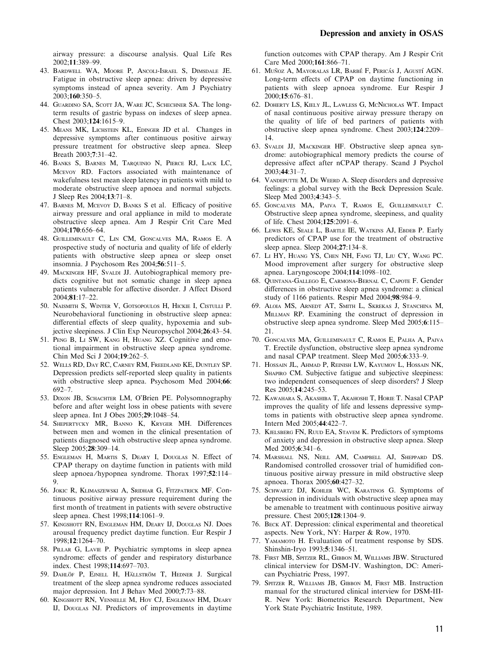airway pressure: a discourse analysis. Qual Life Res 2002;11:389–99.

- 43. Bardwell WA, Moore P, Ancoli-Israel S, Dimsdale JE. Fatigue in obstructive sleep apnea: driven by depressive symptoms instead of apnea severity. Am J Psychiatry 2003;160:350–5.
- 44. Guardino SA, Scott JA, Ware JC, Schechner SA. The longterm results of gastric bypass on indexes of sleep apnea. Chest 2003;124:1615–9.
- 45. Means MK, Lichstein KL, Edinger JD et al. Changes in depressive symptoms after continuous positive airway pressure treatment for obstructive sleep apnea. Sleep Breath 2003;7:31–42.
- 46. Banks S, Barnes M, Tarquinio N, Pierce RJ, Lack LC, Mcevoy RD. Factors associated with maintenance of wakefulness test mean sleep latency in patients with mild to moderate obstructive sleep apnoea and normal subjects. J Sleep Res 2004;13:71–8.
- 47. Barnes M, Mcevoy D, Banks S et al. Efficacy of positive airway pressure and oral appliance in mild to moderate obstructive sleep apnea. Am J Respir Crit Care Med 2004;170:656–64.
- 48. Guilleminault C, Lin CM, Goncalves MA, Ramos E. A prospective study of nocturia and quality of life of elderly patients with obstructive sleep apnea or sleep onset insomnia. J Psychosom Res 2004;56:511–5.
- 49. MACKINGER HF, SVALDI JJ. Autobiographical memory predicts cognitive but not somatic change in sleep apnea patients vulnerable for affective disorder. J Affect Disord 2004;81:17–22.
- 50. Naismith S, Winter V, Gotsopoulos H, Hickie I, Cistulli P. Neurobehavioral functioning in obstructive sleep apnea: differential effects of sleep quality, hypoxemia and subjective sleepiness. J Clin Exp Neuropsychol 2004;26:43–54.
- 51. Peng B, Li SW, Kang H, Huang XZ. Cognitive and emotional impairment in obstructive sleep apnea syndrome. Chin Med Sci J 2004;19:262–5.
- 52. Wells RD, Day RC, Carney RM, Freedland KE, Duntley SP. Depression predicts self-reported sleep quality in patients with obstructive sleep apnea. Psychosom Med 2004;66: 692–7.
- 53. DIXON JB, SCHACHTER LM, O'Brien PE. Polysomnography before and after weight loss in obese patients with severe sleep apnea. Int J Obes 2005;29:1048–54.
- 54. Shepertycky MR, Banno K, Kryger MH. Differences between men and women in the clinical presentation of patients diagnosed with obstructive sleep apnea syndrome. Sleep 2005;28:309–14.
- 55. Engleman H, Martis S, Deary I, Douglas N. Effect of CPAP therapy on daytime function in patients with mild sleep apnoea/hypopnea syndrome. Thorax 1997;52:114– 9.
- 56. Jokic R, Klimaszewski A, Sridhar G, Fitzpatrick MF. Continuous positive airway pressure requirement during the first month of treatment in patients with severe obstructive sleep apnea. Chest 1998;114:1061–9.
- 57. Kingshott RN, Engleman HM, Deary IJ, Douglas NJ. Does arousal frequency predict daytime function. Eur Respir J 1998;12:1264–70.
- 58. Pillar G, Lavie P. Psychiatric symptoms in sleep apnea syndrome: effects of gender and respiratory disturbance index. Chest 1998;114:697–703.
- 59. DAHLÖF P, EJNELL H, HÄLLSTRÖM T, HEDNER J. Surgical treatment of the sleep apnea syndrome reduces associated major depression. Int J Behav Med 2000;7:73–88.
- 60. Kingshott RN, Vennelle M, Hoy CJ, Engleman HM, Deary IJ, Douglas NJ. Predictors of improvements in daytime

function outcomes with CPAP therapy. Am J Respir Crit Care Med 2000;161:866–71.

- 61. Muñoz A, Mayoralas LR, Barbé F, Pericás J, Agustí AGN. Long-term effects of CPAP on daytime functioning in patients with sleep apnoea syndrome. Eur Respir J 2000;15:676–81.
- 62. Doherty LS, Kiely JL, Lawless G, McNicholas WT. Impact of nasal continuous positive airway pressure therapy on the quality of life of bed partners of patients with obstructive sleep apnea syndrome. Chest 2003;124:2209– 14.
- 63. Svaldi JJ, Mackinger HF. Obstructive sleep apnea syndrome: autobiographical memory predicts the course of depressive affect after nCPAP therapy. Scand J Psychol 2003;44:31–7.
- 64. Vandeputte M, De Weerd A. Sleep disorders and depressive feelings: a global survey with the Beck Depression Scale. Sleep Med 2003;4:343–5.
- 65. Goncalves MA, Paiva T, Ramos E, Guilleminault C. Obstructive sleep apnea syndrome, sleepiness, and quality of life. Chest 2004;125:2091–6.
- 66. Lewis KE, Seale L, Bartle IE, Watkins AJ, Ebdeb P. Early predictors of CPAP use for the treatment of obstructive sleep apnea. Sleep 2004;27:134–8.
- 67. Li HY, Huang YS, Chen NH, Fang TJ, Liu CY, Wang PC. Mood improvement after surgery for obstructive sleep apnea. Laryngoscope 2004;114:1098–102.
- 68. Quintana-Gallego E, Carmona-Bernal C, Capote F. Gender differences in obstructive sleep apnea syndrome: a clinical study of 1166 patients. Respir Med 2004;98:984–9.
- 69. Aloia MS, Arnedt AT, Smith L, Skrekas J, Stanchina M, MILLMAN RP. Examining the construct of depression in obstructive sleep apnea syndrome. Sleep Med 2005;6:115– 21.
- 70. Goncalves MA, Guilleminault C, Ramos E, Palha A, Paiva T. Erectile dysfunction, obstructive sleep apnea syndrome and nasal CPAP treatment. Sleep Med 2005;6:333–9.
- 71. Hossain JL, Ahmad P, Reinish LW, Kayumov L, Hossain NK, SHAPIRO CM. Subjective fatigue and subjective sleepiness: two independent consequences of sleep disorders? J Sleep Res 2005;14:245–53.
- 72. Kawahara S, Akashiba T, Akahoshi T, Horie T. Nasal CPAP improves the quality of life and lessens depressive symptoms in patients with obstructive sleep apnea syndrome. Intern Med 2005;44:422–7.
- 73. Kjelsberg FN, Ruud EA, Stavem K. Predictors of symptoms of anxiety and depression in obstructive sleep apnea. Sleep Med 2005;6:341–6.
- 74. Marshall NS, Neill AM, Campbell AJ, Sheppard DS. Randomised controlled crossover trial of humidified continuous positive airway pressure in mild obstructive sleep apnoea. Thorax 2005;60:427–32.
- 75. Schwartz DJ, Kohler WC, Karatinos G. Symptoms of depression in individuals with obstructive sleep apnea may be amenable to treatment with continuous positive airway pressure. Chest 2005;128:1304–9.
- 76. Beck AT. Depression: clinical experimental and theoretical aspects. New York, NY: Harper & Row, 1970.
- 77. Yamamoto H. Evaluation of treatment response by SDS. Shinshin-Iryo 1993;5:1346–51.
- 78. First MB, Spitzer RL, Gibbon M, Williams JBW. Structured clinical interview for DSM-IV. Washington, DC: American Psychiatric Press, 1997.
- 79. Spitzer R, Williams JB, Gibbon M, First MB. Instruction manual for the structured clinical interview for DSM-III-R. New York: Biometrics Research Department, New York State Psychiatric Institute, 1989.